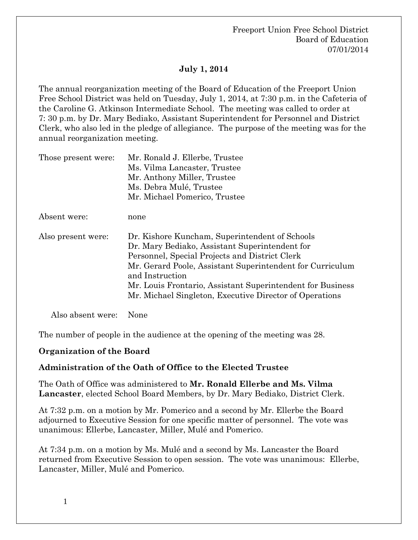## **July 1, 2014**

The annual reorganization meeting of the Board of Education of the Freeport Union Free School District was held on Tuesday, July 1, 2014, at 7:30 p.m. in the Cafeteria of the Caroline G. Atkinson Intermediate School. The meeting was called to order at 7: 30 p.m. by Dr. Mary Bediako, Assistant Superintendent for Personnel and District Clerk, who also led in the pledge of allegiance. The purpose of the meeting was for the annual reorganization meeting.

| Those present were: | Mr. Ronald J. Ellerbe, Trustee                                                                                                                                                                                                                                                                                                                              |
|---------------------|-------------------------------------------------------------------------------------------------------------------------------------------------------------------------------------------------------------------------------------------------------------------------------------------------------------------------------------------------------------|
|                     | Ms. Vilma Lancaster, Trustee                                                                                                                                                                                                                                                                                                                                |
|                     | Mr. Anthony Miller, Trustee                                                                                                                                                                                                                                                                                                                                 |
|                     | Ms. Debra Mulé, Trustee                                                                                                                                                                                                                                                                                                                                     |
|                     | Mr. Michael Pomerico, Trustee                                                                                                                                                                                                                                                                                                                               |
| Absent were:        | none                                                                                                                                                                                                                                                                                                                                                        |
| Also present were:  | Dr. Kishore Kuncham, Superintendent of Schools<br>Dr. Mary Bediako, Assistant Superintendent for<br>Personnel, Special Projects and District Clerk<br>Mr. Gerard Poole, Assistant Superintendent for Curriculum<br>and Instruction<br>Mr. Louis Frontario, Assistant Superintendent for Business<br>Mr. Michael Singleton, Executive Director of Operations |

Also absent were: None

The number of people in the audience at the opening of the meeting was 28.

#### **Organization of the Board**

#### **Administration of the Oath of Office to the Elected Trustee**

The Oath of Office was administered to **Mr. Ronald Ellerbe and Ms. Vilma Lancaster**, elected School Board Members, by Dr. Mary Bediako, District Clerk.

At 7:32 p.m. on a motion by Mr. Pomerico and a second by Mr. Ellerbe the Board adjourned to Executive Session for one specific matter of personnel. The vote was unanimous: Ellerbe, Lancaster, Miller, Mulé and Pomerico.

At 7:34 p.m. on a motion by Ms. Mulé and a second by Ms. Lancaster the Board returned from Executive Session to open session. The vote was unanimous: Ellerbe, Lancaster, Miller, Mulé and Pomerico.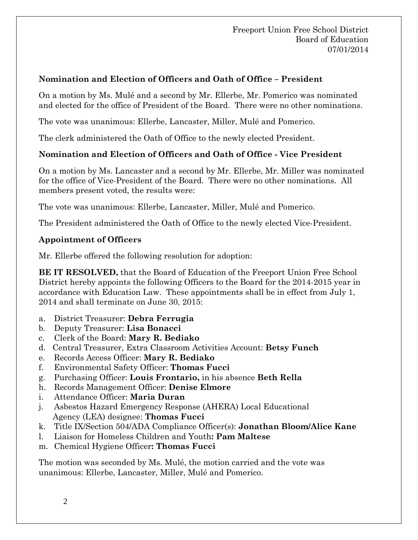## **Nomination and Election of Officers and Oath of Office – President**

On a motion by Ms. Mulé and a second by Mr. Ellerbe, Mr. Pomerico was nominated and elected for the office of President of the Board. There were no other nominations.

The vote was unanimous: Ellerbe, Lancaster, Miller, Mulé and Pomerico.

The clerk administered the Oath of Office to the newly elected President.

### **Nomination and Election of Officers and Oath of Office - Vice President**

On a motion by Ms. Lancaster and a second by Mr. Ellerbe, Mr. Miller was nominated for the office of Vice-President of the Board. There were no other nominations. All members present voted, the results were:

The vote was unanimous: Ellerbe, Lancaster, Miller, Mulé and Pomerico.

The President administered the Oath of Office to the newly elected Vice-President.

#### **Appointment of Officers**

Mr. Ellerbe offered the following resolution for adoption:

**BE IT RESOLVED,** that the Board of Education of the Freeport Union Free School District hereby appoints the following Officers to the Board for the 2014-2015 year in accordance with Education Law. These appointments shall be in effect from July 1, 2014 and shall terminate on June 30, 2015:

- a. District Treasurer: **Debra Ferrugia**
- b. Deputy Treasurer: **Lisa Bonacci**
- c. Clerk of the Board: **Mary R. Bediako**
- d. Central Treasurer, Extra Classroom Activities Account: **Betsy Funch**
- e. Records Access Officer: **Mary R. Bediako**
- f. Environmental Safety Officer: **Thomas Fucci**
- g. Purchasing Officer: **Louis Frontario,** in his absence **Beth Rella**
- h. Records Management Officer: **Denise Elmore**
- i. Attendance Officer: **Maria Duran**
- j. Asbestos Hazard Emergency Response (AHERA) Local Educational Agency (LEA) designee: **Thomas Fucci**
- k. Title IX/Section 504/ADA Compliance Officer(s): **Jonathan Bloom/Alice Kane**
- l. Liaison for Homeless Children and Youth**: Pam Maltese**
- m. Chemical Hygiene Officer**: Thomas Fucci**

The motion was seconded by Ms. Mulé, the motion carried and the vote was unanimous: Ellerbe, Lancaster, Miller, Mulé and Pomerico.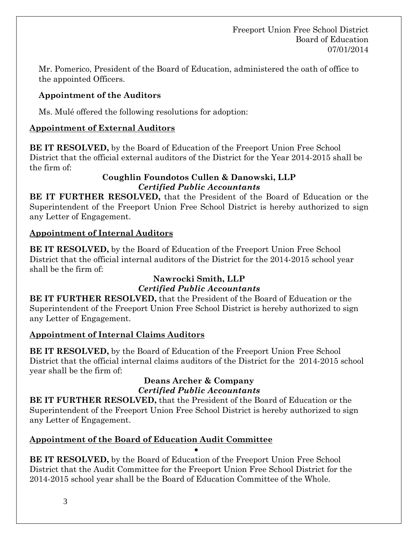Mr. Pomerico, President of the Board of Education, administered the oath of office to the appointed Officers.

## **Appointment of the Auditors**

Ms. Mulé offered the following resolutions for adoption:

## **Appointment of External Auditors**

**BE IT RESOLVED,** by the Board of Education of the Freeport Union Free School District that the official external auditors of the District for the Year 2014-2015 shall be the firm of:

#### **Coughlin Foundotos Cullen & Danowski, LLP** *Certified Public Accountants*

**BE IT FURTHER RESOLVED,** that the President of the Board of Education or the Superintendent of the Freeport Union Free School District is hereby authorized to sign any Letter of Engagement.

## **Appointment of Internal Auditors**

**BE IT RESOLVED,** by the Board of Education of the Freeport Union Free School District that the official internal auditors of the District for the 2014-2015 school year shall be the firm of:

# **Nawrocki Smith, LLP**

## *Certified Public Accountants*

**BE IT FURTHER RESOLVED,** that the President of the Board of Education or the Superintendent of the Freeport Union Free School District is hereby authorized to sign any Letter of Engagement.

## **Appointment of Internal Claims Auditors**

**BE IT RESOLVED,** by the Board of Education of the Freeport Union Free School District that the official internal claims auditors of the District for the 2014-2015 school year shall be the firm of:

#### **Deans Archer & Company** *Certified Public Accountants*

**BE IT FURTHER RESOLVED,** that the President of the Board of Education or the Superintendent of the Freeport Union Free School District is hereby authorized to sign any Letter of Engagement.

## **Appointment of the Board of Education Audit Committee**

• **BE IT RESOLVED,** by the Board of Education of the Freeport Union Free School District that the Audit Committee for the Freeport Union Free School District for the 2014-2015 school year shall be the Board of Education Committee of the Whole.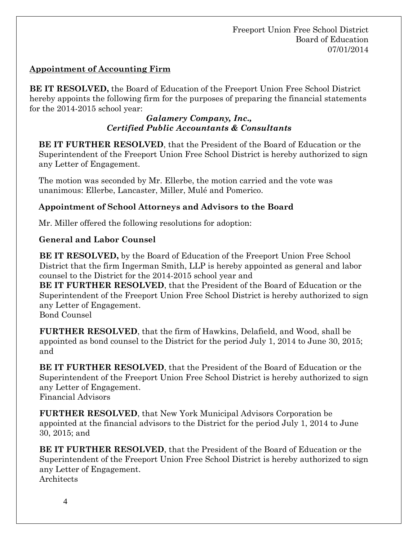## **Appointment of Accounting Firm**

**BE IT RESOLVED,** the Board of Education of the Freeport Union Free School District hereby appoints the following firm for the purposes of preparing the financial statements for the 2014-2015 school year:

#### *Galamery Company, Inc., Certified Public Accountants & Consultants*

**BE IT FURTHER RESOLVED**, that the President of the Board of Education or the Superintendent of the Freeport Union Free School District is hereby authorized to sign any Letter of Engagement.

The motion was seconded by Mr. Ellerbe, the motion carried and the vote was unanimous: Ellerbe, Lancaster, Miller, Mulé and Pomerico.

### **Appointment of School Attorneys and Advisors to the Board**

Mr. Miller offered the following resolutions for adoption:

### **General and Labor Counsel**

**BE IT RESOLVED,** by the Board of Education of the Freeport Union Free School District that the firm Ingerman Smith, LLP is hereby appointed as general and labor counsel to the District for the 2014-2015 school year and

**BE IT FURTHER RESOLVED**, that the President of the Board of Education or the Superintendent of the Freeport Union Free School District is hereby authorized to sign any Letter of Engagement.

Bond Counsel

**FURTHER RESOLVED**, that the firm of Hawkins, Delafield, and Wood, shall be appointed as bond counsel to the District for the period July 1, 2014 to June 30, 2015; and

**BE IT FURTHER RESOLVED**, that the President of the Board of Education or the Superintendent of the Freeport Union Free School District is hereby authorized to sign any Letter of Engagement. Financial Advisors

**FURTHER RESOLVED**, that New York Municipal Advisors Corporation be appointed at the financial advisors to the District for the period July 1, 2014 to June 30, 2015; and

**BE IT FURTHER RESOLVED**, that the President of the Board of Education or the Superintendent of the Freeport Union Free School District is hereby authorized to sign any Letter of Engagement. **Architects**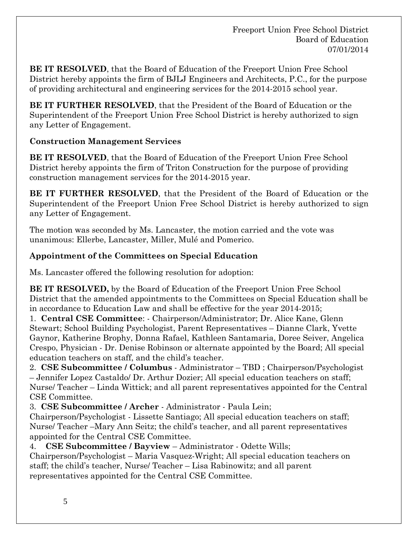**BE IT RESOLVED**, that the Board of Education of the Freeport Union Free School District hereby appoints the firm of BJLJ Engineers and Architects, P.C., for the purpose of providing architectural and engineering services for the 2014-2015 school year.

**BE IT FURTHER RESOLVED**, that the President of the Board of Education or the Superintendent of the Freeport Union Free School District is hereby authorized to sign any Letter of Engagement.

## **Construction Management Services**

**BE IT RESOLVED**, that the Board of Education of the Freeport Union Free School District hereby appoints the firm of Triton Construction for the purpose of providing construction management services for the 2014-2015 year.

**BE IT FURTHER RESOLVED**, that the President of the Board of Education or the Superintendent of the Freeport Union Free School District is hereby authorized to sign any Letter of Engagement.

The motion was seconded by Ms. Lancaster, the motion carried and the vote was unanimous: Ellerbe, Lancaster, Miller, Mulé and Pomerico.

# **Appointment of the Committees on Special Education**

Ms. Lancaster offered the following resolution for adoption:

**BE IT RESOLVED,** by the Board of Education of the Freeport Union Free School District that the amended appointments to the Committees on Special Education shall be in accordance to Education Law and shall be effective for the year 2014-2015;

1. **Central CSE Committee**: - Chairperson/Administrator; Dr. Alice Kane, Glenn Stewart; School Building Psychologist, Parent Representatives – Dianne Clark, Yvette Gaynor, Katherine Brophy, Donna Rafael, Kathleen Santamaria, Doree Seiver, Angelica Crespo, Physician - Dr. Denise Robinson or alternate appointed by the Board; All special education teachers on staff, and the child's teacher.

2. **CSE Subcommittee / Columbus** - Administrator – TBD ; Chairperson/Psychologist – Jennifer Lopez Castaldo/ Dr. Arthur Dozier; All special education teachers on staff; Nurse/ Teacher – Linda Wittick; and all parent representatives appointed for the Central CSE Committee.

3. **CSE Subcommittee / Archer** - Administrator - Paula Lein;

Chairperson/Psychologist - Lissette Santiago; All special education teachers on staff; Nurse/ Teacher –Mary Ann Seitz; the child's teacher, and all parent representatives appointed for the Central CSE Committee.

4. **CSE Subcommittee / Bayview** – Administrator - Odette Wills; Chairperson/Psychologist – Maria Vasquez-Wright; All special education teachers on staff; the child's teacher, Nurse/ Teacher – Lisa Rabinowitz; and all parent representatives appointed for the Central CSE Committee.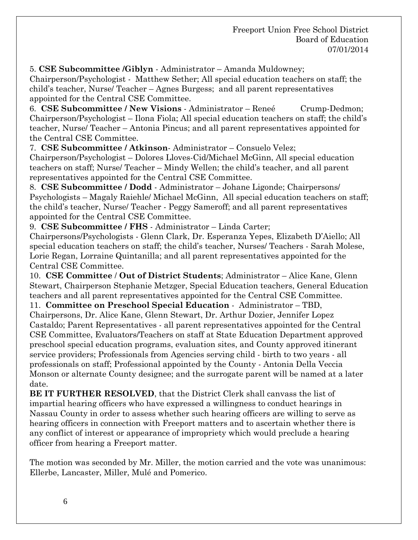5. **CSE Subcommittee /Giblyn** - Administrator – Amanda Muldowney;

Chairperson/Psychologist - Matthew Sether; All special education teachers on staff; the child's teacher, Nurse/ Teacher – Agnes Burgess; and all parent representatives appointed for the Central CSE Committee.

6. **CSE Subcommittee / New Visions** - Administrator – Reneé Crump-Dedmon; Chairperson/Psychologist – Ilona Fiola; All special education teachers on staff; the child's teacher, Nurse/ Teacher – Antonia Pincus; and all parent representatives appointed for the Central CSE Committee.

7. **CSE Subcommittee / Atkinson**- Administrator – Consuelo Velez;

Chairperson/Psychologist – Dolores Lloves-Cid/Michael McGinn, All special education teachers on staff; Nurse/ Teacher – Mindy Wellen; the child's teacher, and all parent representatives appointed for the Central CSE Committee.

8. **CSE Subcommittee / Dodd** - Administrator – Johane Ligonde; Chairpersons/ Psychologists – Magaly Raiehle/ Michael McGinn, All special education teachers on staff; the child's teacher, Nurse/ Teacher - Peggy Sameroff; and all parent representatives appointed for the Central CSE Committee.

9. **CSE Subcommittee / FHS** - Administrator – Linda Carter;

Chairpersons/Psychologists - Glenn Clark, Dr. Esperanza Yepes, Elizabeth D'Aiello; All special education teachers on staff; the child's teacher, Nurses/ Teachers - Sarah Molese, Lorie Regan, Lorraine Quintanilla; and all parent representatives appointed for the Central CSE Committee.

10. **CSE Committee** / **Out of District Students**; Administrator – Alice Kane, Glenn Stewart, Chairperson Stephanie Metzger, Special Education teachers, General Education teachers and all parent representatives appointed for the Central CSE Committee.

11. **Committee on Preschool Special Education** - Administrator – TBD, Chairpersons, Dr. Alice Kane, Glenn Stewart, Dr. Arthur Dozier, Jennifer Lopez Castaldo; Parent Representatives - all parent representatives appointed for the Central CSE Committee, Evaluators/Teachers on staff at State Education Department approved preschool special education programs, evaluation sites, and County approved itinerant service providers; Professionals from Agencies serving child - birth to two years - all professionals on staff; Professional appointed by the County - Antonia Della Veccia Monson or alternate County designee; and the surrogate parent will be named at a later date.

**BE IT FURTHER RESOLVED**, that the District Clerk shall canvass the list of impartial hearing officers who have expressed a willingness to conduct hearings in Nassau County in order to assess whether such hearing officers are willing to serve as hearing officers in connection with Freeport matters and to ascertain whether there is any conflict of interest or appearance of impropriety which would preclude a hearing officer from hearing a Freeport matter.

The motion was seconded by Mr. Miller, the motion carried and the vote was unanimous: Ellerbe, Lancaster, Miller, Mulé and Pomerico.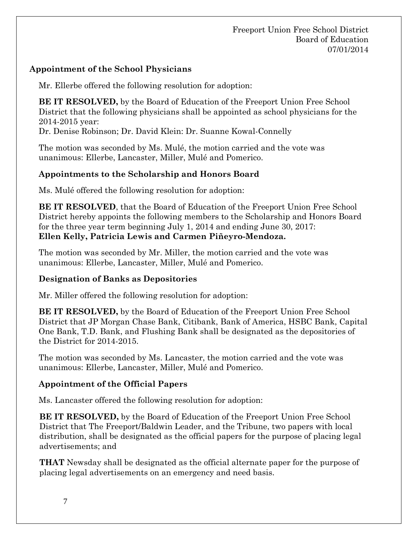## **Appointment of the School Physicians**

Mr. Ellerbe offered the following resolution for adoption:

**BE IT RESOLVED,** by the Board of Education of the Freeport Union Free School District that the following physicians shall be appointed as school physicians for the 2014-2015 year:

Dr. Denise Robinson; Dr. David Klein: Dr. Suanne Kowal-Connelly

The motion was seconded by Ms. Mulé, the motion carried and the vote was unanimous: Ellerbe, Lancaster, Miller, Mulé and Pomerico.

# **Appointments to the Scholarship and Honors Board**

Ms. Mulé offered the following resolution for adoption:

**BE IT RESOLVED**, that the Board of Education of the Freeport Union Free School District hereby appoints the following members to the Scholarship and Honors Board for the three year term beginning July 1, 2014 and ending June 30, 2017: **Ellen Kelly, Patricia Lewis and Carmen Piñeyro-Mendoza.**

The motion was seconded by Mr. Miller, the motion carried and the vote was unanimous: Ellerbe, Lancaster, Miller, Mulé and Pomerico.

# **Designation of Banks as Depositories**

Mr. Miller offered the following resolution for adoption:

**BE IT RESOLVED,** by the Board of Education of the Freeport Union Free School District that JP Morgan Chase Bank, Citibank, Bank of America, HSBC Bank, Capital One Bank, T.D. Bank, and Flushing Bank shall be designated as the depositories of the District for 2014-2015.

The motion was seconded by Ms. Lancaster, the motion carried and the vote was unanimous: Ellerbe, Lancaster, Miller, Mulé and Pomerico.

# **Appointment of the Official Papers**

Ms. Lancaster offered the following resolution for adoption:

**BE IT RESOLVED,** by the Board of Education of the Freeport Union Free School District that The Freeport/Baldwin Leader, and the Tribune, two papers with local distribution, shall be designated as the official papers for the purpose of placing legal advertisements; and

**THAT** Newsday shall be designated as the official alternate paper for the purpose of placing legal advertisements on an emergency and need basis.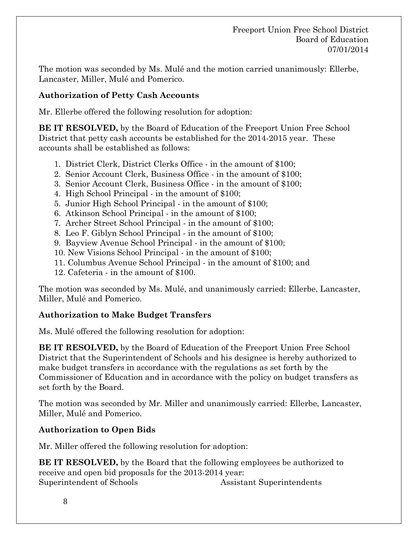The motion was seconded by Ms. Mulé and the motion carried unanimously: Ellerbe, Lancaster, Miller, Mulé and Pomerico.

#### **Authorization of Petty Cash Accounts**

Mr. Ellerbe offered the following resolution for adoption:

**BE IT RESOLVED,** by the Board of Education of the Freeport Union Free School District that petty cash accounts be established for the 2014-2015 year. These accounts shall be established as follows:

- 1. District Clerk, District Clerks Office in the amount of \$100;
- 2. Senior Account Clerk, Business Office in the amount of \$100;
- 3. Senior Account Clerk, Business Office in the amount of \$100;
- 4. High School Principal in the amount of \$100;
- 5. Junior High School Principal in the amount of \$100;
- 6. Atkinson School Principal in the amount of \$100;
- 7. Archer Street School Principal in the amount of \$100;
- 8. Leo F. Giblyn School Principal in the amount of \$100;
- 9. Bayview Avenue School Principal in the amount of \$100;
- 10. New Visions School Principal in the amount of \$100;
- 11. Columbus Avenue School Principal in the amount of \$100; and
- 12. Cafeteria in the amount of \$100.

The motion was seconded by Ms. Mulé, and unanimously carried: Ellerbe, Lancaster, Miller, Mulé and Pomerico.

#### **Authorization to Make Budget Transfers**

Ms. Mulé offered the following resolution for adoption:

**BE IT RESOLVED,** by the Board of Education of the Freeport Union Free School District that the Superintendent of Schools and his designee is hereby authorized to make budget transfers in accordance with the regulations as set forth by the Commissioner of Education and in accordance with the policy on budget transfers as set forth by the Board.

The motion was seconded by Mr. Miller and unanimously carried: Ellerbe, Lancaster, Miller, Mulé and Pomerico.

#### **Authorization to Open Bids**

Mr. Miller offered the following resolution for adoption:

**BE IT RESOLVED,** by the Board that the following employees be authorized to receive and open bid proposals for the 2013-2014 year: Superintendent of Schools Assistant Superintendents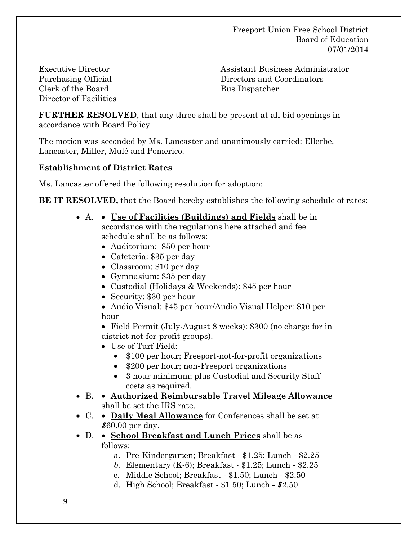Executive Director Purchasing Official Clerk of the Board Director of Facilities Assistant Business Administrator Directors and Coordinators Bus Dispatcher

**FURTHER RESOLVED**, that any three shall be present at all bid openings in accordance with Board Policy.

The motion was seconded by Ms. Lancaster and unanimously carried: Ellerbe, Lancaster, Miller, Mulé and Pomerico.

#### **Establishment of District Rates**

Ms. Lancaster offered the following resolution for adoption:

**BE IT RESOLVED,** that the Board hereby establishes the following schedule of rates:

- A. **Use of Facilities (Buildings) and Fields** shall be in accordance with the regulations here attached and fee schedule shall be as follows:
	- Auditorium: \$50 per hour
	- Cafeteria: \$35 per day
	- Classroom: \$10 per day
	- Gymnasium: \$35 per day
	- Custodial (Holidays & Weekends): \$45 per hour
	- Security: \$30 per hour
	- Audio Visual: \$45 per hour/Audio Visual Helper: \$10 per hour

• Field Permit (July-August 8 weeks): \$300 (no charge for in district not-for-profit groups).

- Use of Turf Field:
	- \$100 per hour; Freeport-not-for-profit organizations
	- \$200 per hour; non-Freeport organizations
	- 3 hour minimum; plus Custodial and Security Staff costs as required.
- B. **Authorized Reimbursable Travel Mileage Allowance** shall be set the IRS rate.
- C. **Daily Meal Allowance** for Conferences shall be set at *\$*60.00 per day.
- D. **School Breakfast and Lunch Prices** shall be as follows:
	- a. Pre-Kindergarten; Breakfast \$1.25; Lunch \$2.25
	- *b.* Elementary (K-6); Breakfast \$1.25; Lunch *-* \$2.25
	- c. Middle School; Breakfast \$1.50; Lunch \$2.50
	- d. High School; Breakfast \$1.50; Lunch *- \$*2.50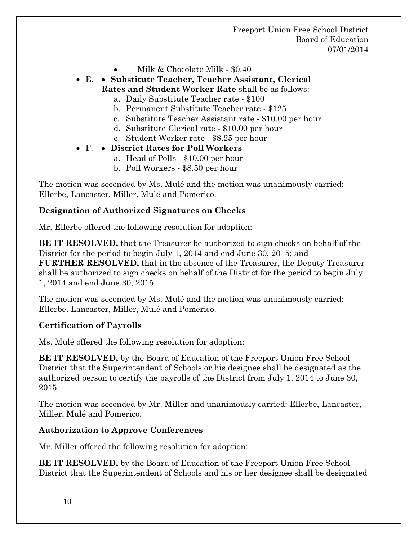- Milk & Chocolate Milk \$0.40
- E. **Substitute Teacher, Teacher Assistant, Clerical Rates and Student Worker Rate** shall be as follows:
	- a. Daily Substitute Teacher rate \$100
	- b. Permanent Substitute Teacher rate \$125
	- c. Substitute Teacher Assistant rate \$10.00 per hour
	- d. Substitute Clerical rate \$10.00 per hour
	- e. Student Worker rate \$8.25 per hour

#### • F. • **District Rates for Poll Workers**

- a. Head of Polls \$10.00 per hour
- b. Poll Workers \$8.50 per hour

The motion was seconded by Ms. Mulé and the motion was unanimously carried: Ellerbe, Lancaster, Miller, Mulé and Pomerico.

#### **Designation of Authorized Signatures on Checks**

Mr. Ellerbe offered the following resolution for adoption:

**BE IT RESOLVED,** that the Treasurer be authorized to sign checks on behalf of the District for the period to begin July 1, 2014 and end June 30, 2015; and **FURTHER RESOLVED,** that in the absence of the Treasurer, the Deputy Treasurer shall be authorized to sign checks on behalf of the District for the period to begin July 1, 2014 and end June 30, 2015

The motion was seconded by Ms. Mulé and the motion was unanimously carried: Ellerbe, Lancaster, Miller, Mulé and Pomerico.

#### **Certification of Payrolls**

Ms. Mulé offered the following resolution for adoption:

**BE IT RESOLVED,** by the Board of Education of the Freeport Union Free School District that the Superintendent of Schools or his designee shall be designated as the authorized person to certify the payrolls of the District from July 1, 2014 to June 30, 2015.

The motion was seconded by Mr. Miller and unanimously carried: Ellerbe, Lancaster, Miller, Mulé and Pomerico.

#### **Authorization to Approve Conferences**

Mr. Miller offered the following resolution for adoption:

**BE IT RESOLVED,** by the Board of Education of the Freeport Union Free School District that the Superintendent of Schools and his or her designee shall be designated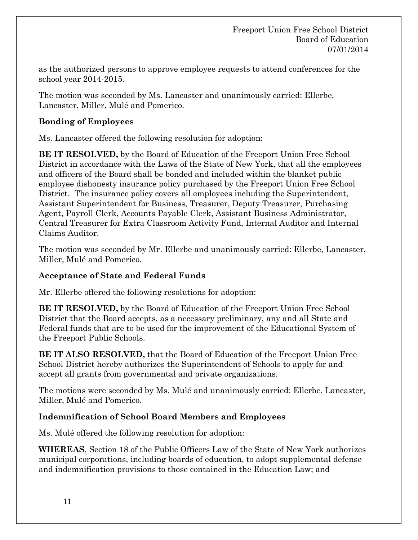as the authorized persons to approve employee requests to attend conferences for the school year 2014-2015.

The motion was seconded by Ms. Lancaster and unanimously carried: Ellerbe, Lancaster, Miller, Mulé and Pomerico.

### **Bonding of Employees**

Ms. Lancaster offered the following resolution for adoption:

**BE IT RESOLVED,** by the Board of Education of the Freeport Union Free School District in accordance with the Laws of the State of New York, that all the employees and officers of the Board shall be bonded and included within the blanket public employee dishonesty insurance policy purchased by the Freeport Union Free School District. The insurance policy covers all employees including the Superintendent, Assistant Superintendent for Business, Treasurer, Deputy Treasurer, Purchasing Agent, Payroll Clerk, Accounts Payable Clerk, Assistant Business Administrator, Central Treasurer for Extra Classroom Activity Fund, Internal Auditor and Internal Claims Auditor.

The motion was seconded by Mr. Ellerbe and unanimously carried: Ellerbe, Lancaster, Miller, Mulé and Pomerico.

#### **Acceptance of State and Federal Funds**

Mr. Ellerbe offered the following resolutions for adoption:

**BE IT RESOLVED,** by the Board of Education of the Freeport Union Free School District that the Board accepts, as a necessary preliminary, any and all State and Federal funds that are to be used for the improvement of the Educational System of the Freeport Public Schools.

**BE IT ALSO RESOLVED,** that the Board of Education of the Freeport Union Free School District hereby authorizes the Superintendent of Schools to apply for and accept all grants from governmental and private organizations.

The motions were seconded by Ms. Mulé and unanimously carried: Ellerbe, Lancaster, Miller, Mulé and Pomerico.

## **Indemnification of School Board Members and Employees**

Ms. Mulé offered the following resolution for adoption:

**WHEREAS**, Section 18 of the Public Officers Law of the State of New York authorizes municipal corporations, including boards of education, to adopt supplemental defense and indemnification provisions to those contained in the Education Law; and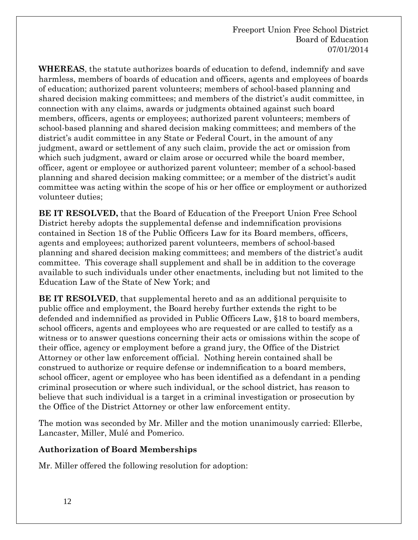**WHEREAS**, the statute authorizes boards of education to defend, indemnify and save harmless, members of boards of education and officers, agents and employees of boards of education; authorized parent volunteers; members of school-based planning and shared decision making committees; and members of the district's audit committee, in connection with any claims, awards or judgments obtained against such board members, officers, agents or employees; authorized parent volunteers; members of school-based planning and shared decision making committees; and members of the district's audit committee in any State or Federal Court, in the amount of any judgment, award or settlement of any such claim, provide the act or omission from which such judgment, award or claim arose or occurred while the board member, officer, agent or employee or authorized parent volunteer; member of a school-based planning and shared decision making committee; or a member of the district's audit committee was acting within the scope of his or her office or employment or authorized volunteer duties;

**BE IT RESOLVED,** that the Board of Education of the Freeport Union Free School District hereby adopts the supplemental defense and indemnification provisions contained in Section 18 of the Public Officers Law for its Board members, officers, agents and employees; authorized parent volunteers, members of school-based planning and shared decision making committees; and members of the district's audit committee. This coverage shall supplement and shall be in addition to the coverage available to such individuals under other enactments, including but not limited to the Education Law of the State of New York; and

**BE IT RESOLVED**, that supplemental hereto and as an additional perquisite to public office and employment, the Board hereby further extends the right to be defended and indemnified as provided in Public Officers Law, §18 to board members, school officers, agents and employees who are requested or are called to testify as a witness or to answer questions concerning their acts or omissions within the scope of their office, agency or employment before a grand jury, the Office of the District Attorney or other law enforcement official. Nothing herein contained shall be construed to authorize or require defense or indemnification to a board members, school officer, agent or employee who has been identified as a defendant in a pending criminal prosecution or where such individual, or the school district, has reason to believe that such individual is a target in a criminal investigation or prosecution by the Office of the District Attorney or other law enforcement entity.

The motion was seconded by Mr. Miller and the motion unanimously carried: Ellerbe, Lancaster, Miller, Mulé and Pomerico.

#### **Authorization of Board Memberships**

Mr. Miller offered the following resolution for adoption: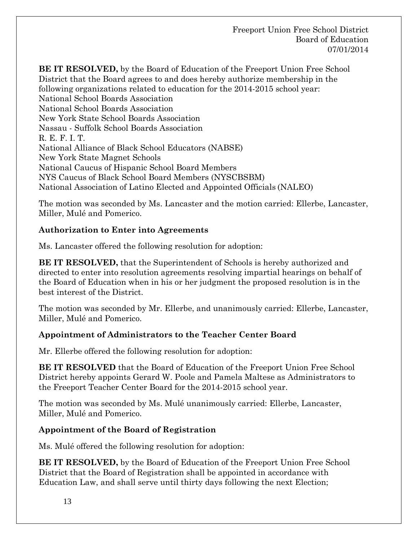**BE IT RESOLVED,** by the Board of Education of the Freeport Union Free School District that the Board agrees to and does hereby authorize membership in the following organizations related to education for the 2014-2015 school year: National School Boards Association National School Boards Association New York State School Boards Association Nassau - Suffolk School Boards Association R. E. F. I. T. National Alliance of Black School Educators (NABSE) New York State Magnet Schools National Caucus of Hispanic School Board Members NYS Caucus of Black School Board Members (NYSCBSBM) National Association of Latino Elected and Appointed Officials (NALEO)

The motion was seconded by Ms. Lancaster and the motion carried: Ellerbe, Lancaster, Miller, Mulé and Pomerico.

## **Authorization to Enter into Agreements**

Ms. Lancaster offered the following resolution for adoption:

**BE IT RESOLVED,** that the Superintendent of Schools is hereby authorized and directed to enter into resolution agreements resolving impartial hearings on behalf of the Board of Education when in his or her judgment the proposed resolution is in the best interest of the District.

The motion was seconded by Mr. Ellerbe, and unanimously carried: Ellerbe, Lancaster, Miller, Mulé and Pomerico.

## **Appointment of Administrators to the Teacher Center Board**

Mr. Ellerbe offered the following resolution for adoption:

**BE IT RESOLVED** that the Board of Education of the Freeport Union Free School District hereby appoints Gerard W. Poole and Pamela Maltese as Administrators to the Freeport Teacher Center Board for the 2014-2015 school year.

The motion was seconded by Ms. Mulé unanimously carried: Ellerbe, Lancaster, Miller, Mulé and Pomerico.

#### **Appointment of the Board of Registration**

Ms. Mulé offered the following resolution for adoption:

**BE IT RESOLVED,** by the Board of Education of the Freeport Union Free School District that the Board of Registration shall be appointed in accordance with Education Law, and shall serve until thirty days following the next Election;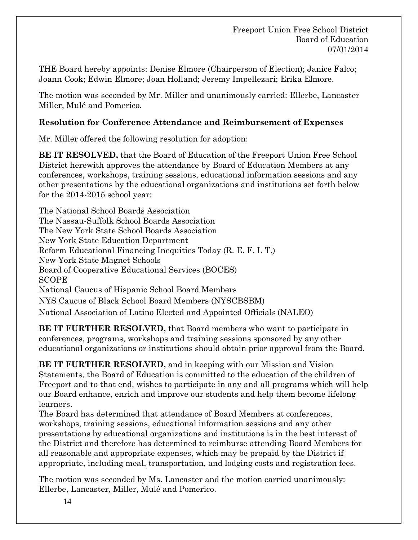THE Board hereby appoints: Denise Elmore (Chairperson of Election); Janice Falco; Joann Cook; Edwin Elmore; Joan Holland; Jeremy Impellezari; Erika Elmore.

The motion was seconded by Mr. Miller and unanimously carried: Ellerbe, Lancaster Miller, Mulé and Pomerico.

### **Resolution for Conference Attendance and Reimbursement of Expenses**

Mr. Miller offered the following resolution for adoption:

**BE IT RESOLVED,** that the Board of Education of the Freeport Union Free School District herewith approves the attendance by Board of Education Members at any conferences, workshops, training sessions, educational information sessions and any other presentations by the educational organizations and institutions set forth below for the 2014-2015 school year:

The National School Boards Association The Nassau-Suffolk School Boards Association The New York State School Boards Association New York State Education Department Reform Educational Financing Inequities Today (R. E. F. I. T.) New York State Magnet Schools Board of Cooperative Educational Services (BOCES) SCOPE National Caucus of Hispanic School Board Members NYS Caucus of Black School Board Members (NYSCBSBM) National Association of Latino Elected and Appointed Officials (NALEO)

**BE IT FURTHER RESOLVED, that Board members who want to participate in** conferences, programs, workshops and training sessions sponsored by any other educational organizations or institutions should obtain prior approval from the Board.

**BE IT FURTHER RESOLVED,** and in keeping with our Mission and Vision Statements, the Board of Education is committed to the education of the children of Freeport and to that end, wishes to participate in any and all programs which will help our Board enhance, enrich and improve our students and help them become lifelong learners.

The Board has determined that attendance of Board Members at conferences, workshops, training sessions, educational information sessions and any other presentations by educational organizations and institutions is in the best interest of the District and therefore has determined to reimburse attending Board Members for all reasonable and appropriate expenses, which may be prepaid by the District if appropriate, including meal, transportation, and lodging costs and registration fees.

The motion was seconded by Ms. Lancaster and the motion carried unanimously: Ellerbe, Lancaster, Miller, Mulé and Pomerico.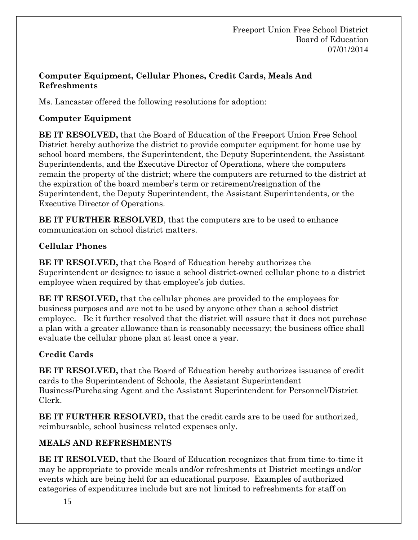### **Computer Equipment, Cellular Phones, Credit Cards, Meals And Refreshments**

Ms. Lancaster offered the following resolutions for adoption:

## **Computer Equipment**

**BE IT RESOLVED,** that the Board of Education of the Freeport Union Free School District hereby authorize the district to provide computer equipment for home use by school board members, the Superintendent, the Deputy Superintendent, the Assistant Superintendents, and the Executive Director of Operations, where the computers remain the property of the district; where the computers are returned to the district at the expiration of the board member's term or retirement/resignation of the Superintendent, the Deputy Superintendent, the Assistant Superintendents, or the Executive Director of Operations.

**BE IT FURTHER RESOLVED**, that the computers are to be used to enhance communication on school district matters.

## **Cellular Phones**

**BE IT RESOLVED,** that the Board of Education hereby authorizes the Superintendent or designee to issue a school district-owned cellular phone to a district employee when required by that employee's job duties.

**BE IT RESOLVED,** that the cellular phones are provided to the employees for business purposes and are not to be used by anyone other than a school district employee. Be it further resolved that the district will assure that it does not purchase a plan with a greater allowance than is reasonably necessary; the business office shall evaluate the cellular phone plan at least once a year.

# **Credit Cards**

**BE IT RESOLVED,** that the Board of Education hereby authorizes issuance of credit cards to the Superintendent of Schools, the Assistant Superintendent Business/Purchasing Agent and the Assistant Superintendent for Personnel/District Clerk.

**BE IT FURTHER RESOLVED,** that the credit cards are to be used for authorized, reimbursable, school business related expenses only.

# **MEALS AND REFRESHMENTS**

**BE IT RESOLVED,** that the Board of Education recognizes that from time-to-time it may be appropriate to provide meals and/or refreshments at District meetings and/or events which are being held for an educational purpose. Examples of authorized categories of expenditures include but are not limited to refreshments for staff on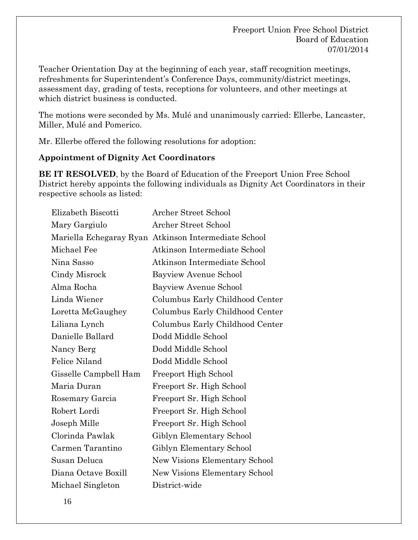Teacher Orientation Day at the beginning of each year, staff recognition meetings, refreshments for Superintendent's Conference Days, community/district meetings, assessment day, grading of tests, receptions for volunteers, and other meetings at which district business is conducted.

The motions were seconded by Ms. Mulé and unanimously carried: Ellerbe, Lancaster, Miller, Mulé and Pomerico.

Mr. Ellerbe offered the following resolutions for adoption:

#### **Appointment of Dignity Act Coordinators**

**BE IT RESOLVED**, by the Board of Education of the Freeport Union Free School District hereby appoints the following individuals as Dignity Act Coordinators in their respective schools as listed:

| Elizabeth Biscotti    | Archer Street School                                 |
|-----------------------|------------------------------------------------------|
| Mary Gargiulo         | <b>Archer Street School</b>                          |
|                       | Mariella Echegaray Ryan Atkinson Intermediate School |
| Michael Fee           | Atkinson Intermediate School                         |
| Nina Sasso            | Atkinson Intermediate School                         |
| Cindy Misrock         | Bayview Avenue School                                |
| Alma Rocha            | Bayview Avenue School                                |
| Linda Wiener          | Columbus Early Childhood Center                      |
| Loretta McGaughey     | Columbus Early Childhood Center                      |
| Liliana Lynch         | Columbus Early Childhood Center                      |
| Danielle Ballard      | Dodd Middle School                                   |
| Nancy Berg            | Dodd Middle School                                   |
| Felice Niland         | Dodd Middle School                                   |
| Gisselle Campbell Ham | <b>Freeport High School</b>                          |
| Maria Duran           | Freeport Sr. High School                             |
| Rosemary Garcia       | Freeport Sr. High School                             |
| Robert Lordi          | Freeport Sr. High School                             |
| Joseph Mille          | Freeport Sr. High School                             |
| Clorinda Pawlak       | Giblyn Elementary School                             |
| Carmen Tarantino      | Giblyn Elementary School                             |
| Susan Deluca          | New Visions Elementary School                        |
| Diana Octave Boxill   | New Visions Elementary School                        |
| Michael Singleton     | District-wide                                        |
|                       |                                                      |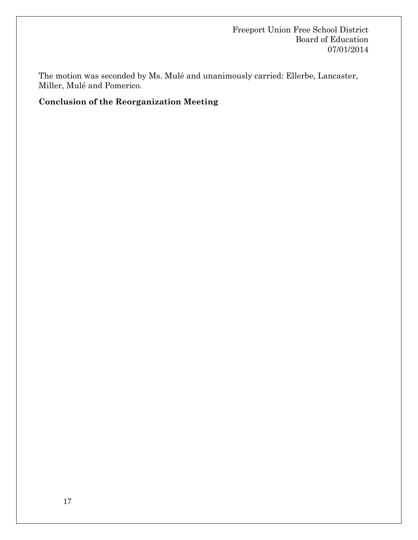The motion was seconded by Ms. Mulé and unanimously carried: Ellerbe, Lancaster, Miller, Mulé and Pomerico.

### **Conclusion of the Reorganization Meeting**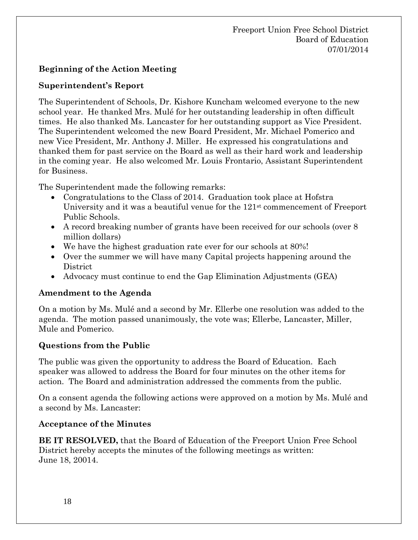## **Beginning of the Action Meeting**

#### **Superintendent's Report**

The Superintendent of Schools, Dr. Kishore Kuncham welcomed everyone to the new school year. He thanked Mrs. Mulé for her outstanding leadership in often difficult times. He also thanked Ms. Lancaster for her outstanding support as Vice President. The Superintendent welcomed the new Board President, Mr. Michael Pomerico and new Vice President, Mr. Anthony J. Miller. He expressed his congratulations and thanked them for past service on the Board as well as their hard work and leadership in the coming year. He also welcomed Mr. Louis Frontario, Assistant Superintendent for Business.

The Superintendent made the following remarks:

- Congratulations to the Class of 2014. Graduation took place at Hofstra University and it was a beautiful venue for the 121<sup>st</sup> commencement of Freeport Public Schools.
- A record breaking number of grants have been received for our schools (over 8 million dollars)
- We have the highest graduation rate ever for our schools at 80%!
- Over the summer we will have many Capital projects happening around the District
- Advocacy must continue to end the Gap Elimination Adjustments (GEA)

#### **Amendment to the Agenda**

On a motion by Ms. Mulé and a second by Mr. Ellerbe one resolution was added to the agenda. The motion passed unanimously, the vote was; Ellerbe, Lancaster, Miller, Mule and Pomerico.

## **Questions from the Public**

The public was given the opportunity to address the Board of Education. Each speaker was allowed to address the Board for four minutes on the other items for action. The Board and administration addressed the comments from the public.

On a consent agenda the following actions were approved on a motion by Ms. Mulé and a second by Ms. Lancaster:

## **Acceptance of the Minutes**

**BE IT RESOLVED,** that the Board of Education of the Freeport Union Free School District hereby accepts the minutes of the following meetings as written: June 18, 20014.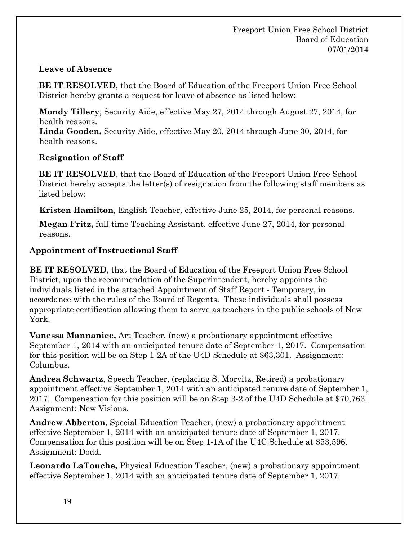### **Leave of Absence**

**BE IT RESOLVED**, that the Board of Education of the Freeport Union Free School District hereby grants a request for leave of absence as listed below:

**Mondy Tillery**, Security Aide, effective May 27, 2014 through August 27, 2014, for health reasons.

**Linda Gooden,** Security Aide, effective May 20, 2014 through June 30, 2014, for health reasons.

## **Resignation of Staff**

**BE IT RESOLVED**, that the Board of Education of the Freeport Union Free School District hereby accepts the letter(s) of resignation from the following staff members as listed below:

**Kristen Hamilton**, English Teacher, effective June 25, 2014, for personal reasons.

**Megan Fritz,** full-time Teaching Assistant, effective June 27, 2014, for personal reasons.

## **Appointment of Instructional Staff**

**BE IT RESOLVED**, that the Board of Education of the Freeport Union Free School District, upon the recommendation of the Superintendent, hereby appoints the individuals listed in the attached Appointment of Staff Report - Temporary, in accordance with the rules of the Board of Regents. These individuals shall possess appropriate certification allowing them to serve as teachers in the public schools of New York.

**Vanessa Mannanice,** Art Teacher, (new) a probationary appointment effective September 1, 2014 with an anticipated tenure date of September 1, 2017. Compensation for this position will be on Step 1-2A of the U4D Schedule at \$63,301. Assignment: Columbus.

**Andrea Schwartz**, Speech Teacher, (replacing S. Morvitz, Retired) a probationary appointment effective September 1, 2014 with an anticipated tenure date of September 1, 2017. Compensation for this position will be on Step 3-2 of the U4D Schedule at \$70,763. Assignment: New Visions.

**Andrew Abberton**, Special Education Teacher, (new) a probationary appointment effective September 1, 2014 with an anticipated tenure date of September 1, 2017. Compensation for this position will be on Step 1-1A of the U4C Schedule at \$53,596. Assignment: Dodd.

**Leonardo LaTouche,** Physical Education Teacher, (new) a probationary appointment effective September 1, 2014 with an anticipated tenure date of September 1, 2017.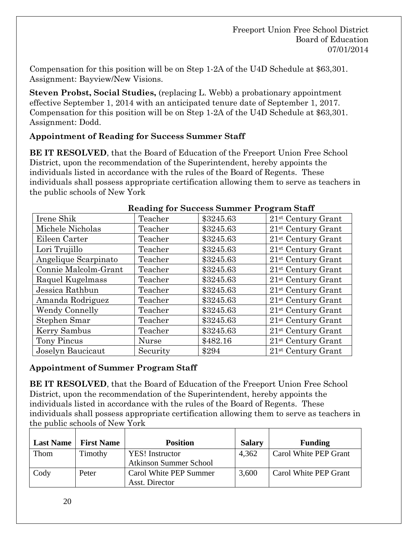Compensation for this position will be on Step 1-2A of the U4D Schedule at \$63,301. Assignment: Bayview/New Visions.

**Steven Probst, Social Studies,** (replacing L. Webb) a probationary appointment effective September 1, 2014 with an anticipated tenure date of September 1, 2017. Compensation for this position will be on Step 1-2A of the U4D Schedule at \$63,301. Assignment: Dodd.

#### **Appointment of Reading for Success Summer Staff**

**BE IT RESOLVED**, that the Board of Education of the Freeport Union Free School District, upon the recommendation of the Superintendent, hereby appoints the individuals listed in accordance with the rules of the Board of Regents. These individuals shall possess appropriate certification allowing them to serve as teachers in the public schools of New York

| Reading for buccess building Trogram blan |              |           |                                  |  |  |
|-------------------------------------------|--------------|-----------|----------------------------------|--|--|
| Irene Shik                                | Teacher      | \$3245.63 | $21$ <sup>st</sup> Century Grant |  |  |
| Michele Nicholas                          | Teacher      | \$3245.63 | $21$ <sup>st</sup> Century Grant |  |  |
| Eileen Carter                             | Teacher      | \$3245.63 | $21^{\rm st}$ Century Grant      |  |  |
| Lori Trujillo                             | Teacher      | \$3245.63 | $21$ <sup>st</sup> Century Grant |  |  |
| Angelique Scarpinato                      | Teacher      | \$3245.63 | $21$ <sup>st</sup> Century Grant |  |  |
| Connie Malcolm-Grant                      | Teacher      | \$3245.63 | 21 <sup>st</sup> Century Grant   |  |  |
| Raquel Kugelmass                          | Teacher      | \$3245.63 | $21$ <sup>st</sup> Century Grant |  |  |
| Jessica Rathbun                           | Teacher      | \$3245.63 | 21 <sup>st</sup> Century Grant   |  |  |
| Amanda Rodriguez                          | Teacher      | \$3245.63 | $21^{\rm st}$ Century Grant      |  |  |
| <b>Wendy Connelly</b>                     | Teacher      | \$3245.63 | $21$ <sup>st</sup> Century Grant |  |  |
| Stephen Smar                              | Teacher      | \$3245.63 | $21st$ Century Grant             |  |  |
| Kerry Sambus                              | Teacher      | \$3245.63 | $21$ <sup>st</sup> Century Grant |  |  |
| Tony Pincus                               | <b>Nurse</b> | \$482.16  | $21$ <sup>st</sup> Century Grant |  |  |
| Joselyn Baucicaut                         | Security     | \$294     | $21st$ Century Grant             |  |  |

#### **Reading for Success Summer Program Staff**

#### **Appointment of Summer Program Staff**

**BE IT RESOLVED**, that the Board of Education of the Freeport Union Free School District, upon the recommendation of the Superintendent, hereby appoints the individuals listed in accordance with the rules of the Board of Regents. These individuals shall possess appropriate certification allowing them to serve as teachers in the public schools of New York

| <b>Last Name</b> | <b>First Name</b> | <b>Position</b>               | <b>Salary</b> | <b>Funding</b>        |
|------------------|-------------------|-------------------------------|---------------|-----------------------|
| Thom             | Timothy           | <b>YES!</b> Instructor        | 4,362         | Carol White PEP Grant |
|                  |                   | <b>Atkinson Summer School</b> |               |                       |
| Cody             | Peter             | Carol White PEP Summer        | 3,600         | Carol White PEP Grant |
|                  |                   | Asst. Director                |               |                       |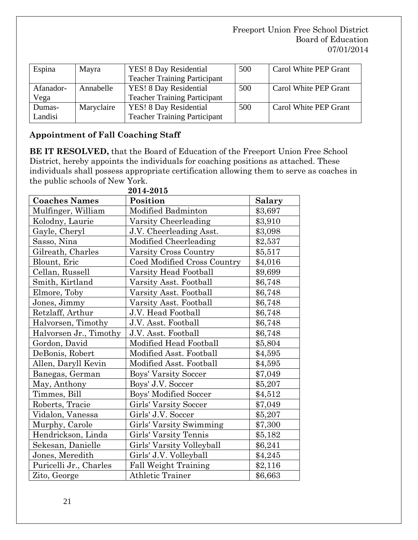| Espina    | Mayra      | YES! 8 Day Residential              | 500 | Carol White PEP Grant |
|-----------|------------|-------------------------------------|-----|-----------------------|
|           |            | <b>Teacher Training Participant</b> |     |                       |
| Afanador- | Annabelle  | YES! 8 Day Residential              | 500 | Carol White PEP Grant |
| Vega      |            | <b>Teacher Training Participant</b> |     |                       |
| Dumas-    | Maryclaire | YES! 8 Day Residential              | 500 | Carol White PEP Grant |
| Landisi   |            | <b>Teacher Training Participant</b> |     |                       |

## **Appointment of Fall Coaching Staff**

**BE IT RESOLVED,** that the Board of Education of the Freeport Union Free School District, hereby appoints the individuals for coaching positions as attached. These individuals shall possess appropriate certification allowing them to serve as coaches in the public schools of New York.

| 2014-2015              |                              |         |  |  |  |
|------------------------|------------------------------|---------|--|--|--|
| <b>Coaches Names</b>   | Position                     | Salary  |  |  |  |
| Mulfinger, William     | Modified Badminton           | \$3,697 |  |  |  |
| Kolodny, Laurie        | Varsity Cheerleading         | \$3,910 |  |  |  |
| Gayle, Cheryl          | J.V. Cheerleading Asst.      | \$3,098 |  |  |  |
| Sasso, Nina            | Modified Cheerleading        | \$2,537 |  |  |  |
| Gilreath, Charles      | Varsity Cross Country        | \$5,517 |  |  |  |
| Blount, Eric           | Coed Modified Cross Country  | \$4,016 |  |  |  |
| Cellan, Russell        | Varsity Head Football        | \$9,699 |  |  |  |
| Smith, Kirtland        | Varsity Asst. Football       | \$6,748 |  |  |  |
| Elmore, Toby           | Varsity Asst. Football       | \$6,748 |  |  |  |
| Jones, Jimmy           | Varsity Asst. Football       | \$6,748 |  |  |  |
| Retzlaff, Arthur       | J.V. Head Football           | \$6,748 |  |  |  |
| Halvorsen, Timothy     | J.V. Asst. Football          | \$6,748 |  |  |  |
| Halvorsen Jr., Timothy | J.V. Asst. Football          | \$6,748 |  |  |  |
| Gordon, David          | Modified Head Football       | \$5,804 |  |  |  |
| DeBonis, Robert        | Modified Asst. Football      | \$4,595 |  |  |  |
| Allen, Daryll Kevin    | Modified Asst. Football      | \$4,595 |  |  |  |
| Banegas, German        | Boys' Varsity Soccer         | \$7,049 |  |  |  |
| May, Anthony           | Boys' J.V. Soccer            | \$5,207 |  |  |  |
| Timmes, Bill           | <b>Boys' Modified Soccer</b> | \$4,512 |  |  |  |
| Roberts, Tracie        | Girls' Varsity Soccer        | \$7,049 |  |  |  |
| Vidalon, Vanessa       | Girls' J.V. Soccer           | \$5,207 |  |  |  |
| Murphy, Carole         | Girls' Varsity Swimming      | \$7,300 |  |  |  |
| Hendrickson, Linda     | Girls' Varsity Tennis        | \$5,182 |  |  |  |
| Sekesan, Danielle      | Girls' Varsity Volleyball    | \$6,241 |  |  |  |
| Jones, Meredith        | Girls' J.V. Volleyball       | \$4,245 |  |  |  |
| Puricelli Jr., Charles | Fall Weight Training         | \$2,116 |  |  |  |
| Zito, George           | <b>Athletic Trainer</b>      | \$6,663 |  |  |  |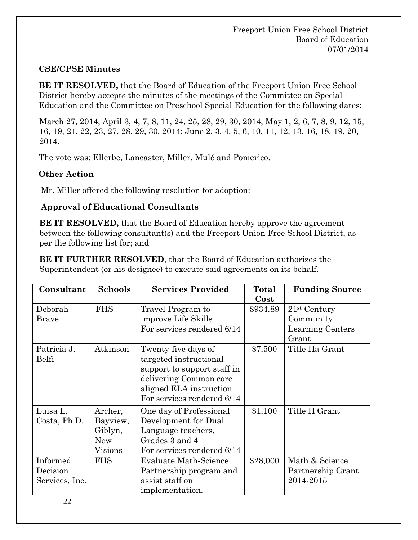#### **CSE/CPSE Minutes**

**BE IT RESOLVED,** that the Board of Education of the Freeport Union Free School District hereby accepts the minutes of the meetings of the Committee on Special Education and the Committee on Preschool Special Education for the following dates:

March 27, 2014; April 3, 4, 7, 8, 11, 24, 25, 28, 29, 30, 2014; May 1, 2, 6, 7, 8, 9, 12, 15, 16, 19, 21, 22, 23, 27, 28, 29, 30, 2014; June 2, 3, 4, 5, 6, 10, 11, 12, 13, 16, 18, 19, 20, 2014.

The vote was: Ellerbe, Lancaster, Miller, Mulé and Pomerico.

#### **Other Action**

Mr. Miller offered the following resolution for adoption:

#### **Approval of Educational Consultants**

**BE IT RESOLVED,** that the Board of Education hereby approve the agreement between the following consultant(s) and the Freeport Union Free School District, as per the following list for; and

**BE IT FURTHER RESOLVED**, that the Board of Education authorizes the Superintendent (or his designee) to execute said agreements on its behalf.

| Consultant                             | <b>Schools</b>                                          | <b>Services Provided</b>                                                                                                                                        | Total<br>$\cos t$ | <b>Funding Source</b>                                    |
|----------------------------------------|---------------------------------------------------------|-----------------------------------------------------------------------------------------------------------------------------------------------------------------|-------------------|----------------------------------------------------------|
| Deborah<br><b>Brave</b>                | <b>FHS</b>                                              | Travel Program to<br>improve Life Skills<br>For services rendered 6/14                                                                                          | \$934.89          | $21st$ Century<br>Community<br>Learning Centers<br>Grant |
| Patricia J.<br>Belfi                   | Atkinson                                                | Twenty-five days of<br>targeted instructional<br>support to support staff in<br>delivering Common core<br>aligned ELA instruction<br>For services rendered 6/14 | \$7,500           | Title IIa Grant                                          |
| Luisa L.<br>Costa, Ph.D.               | Archer,<br>Bayview,<br>Giblyn,<br><b>New</b><br>Visions | One day of Professional<br>Development for Dual<br>Language teachers,<br>Grades 3 and 4<br>For services rendered 6/14                                           | \$1,100           | Title II Grant                                           |
| Informed<br>Decision<br>Services, Inc. | <b>FHS</b>                                              | Evaluate Math-Science<br>Partnership program and<br>assist staff on<br>implementation.                                                                          | \$28,000          | Math & Science<br>Partnership Grant<br>2014-2015         |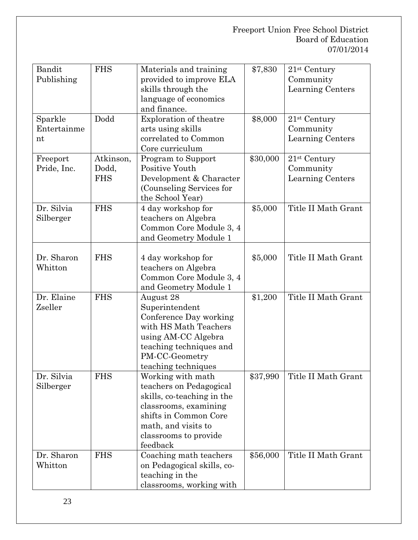| Bandit<br>Publishing         | <b>FHS</b>                       | Materials and training<br>provided to improve ELA<br>skills through the<br>language of economics<br>and finance.                                                                         | \$7,830  | $21st$ Century<br>Community<br>Learning Centers           |
|------------------------------|----------------------------------|------------------------------------------------------------------------------------------------------------------------------------------------------------------------------------------|----------|-----------------------------------------------------------|
| Sparkle<br>Entertainme<br>nt | Dodd                             | Exploration of theatre<br>arts using skills<br>correlated to Common<br>Core curriculum                                                                                                   | \$8,000  | 21 <sup>st</sup> Century<br>Community<br>Learning Centers |
| Freeport<br>Pride, Inc.      | Atkinson,<br>Dodd,<br><b>FHS</b> | Program to Support<br>Positive Youth<br>Development & Character<br>(Counseling Services for<br>the School Year)                                                                          | \$30,000 | 21 <sup>st</sup> Century<br>Community<br>Learning Centers |
| Dr. Silvia<br>Silberger      | <b>FHS</b>                       | 4 day workshop for<br>teachers on Algebra<br>Common Core Module 3, 4<br>and Geometry Module 1                                                                                            | \$5,000  | Title II Math Grant                                       |
| Dr. Sharon<br>Whitton        | <b>FHS</b>                       | 4 day workshop for<br>teachers on Algebra<br>Common Core Module 3, 4<br>and Geometry Module 1                                                                                            | \$5,000  | Title II Math Grant                                       |
| Dr. Elaine<br>Zseller        | <b>FHS</b>                       | August 28<br>Superintendent<br>Conference Day working<br>with HS Math Teachers<br>using AM-CC Algebra<br>teaching techniques and<br>PM-CC-Geometry<br>teaching techniques                | \$1,200  | Title II Math Grant                                       |
| Dr. Silvia<br>Silberger      | <b>FHS</b>                       | Working with math<br>teachers on Pedagogical<br>skills, co-teaching in the<br>classrooms, examining<br>shifts in Common Core<br>math, and visits to<br>classrooms to provide<br>feedback | \$37,990 | Title II Math Grant                                       |
| Dr. Sharon<br>Whitton        | <b>FHS</b>                       | Coaching math teachers<br>on Pedagogical skills, co-<br>teaching in the<br>classrooms, working with                                                                                      | \$56,000 | Title II Math Grant                                       |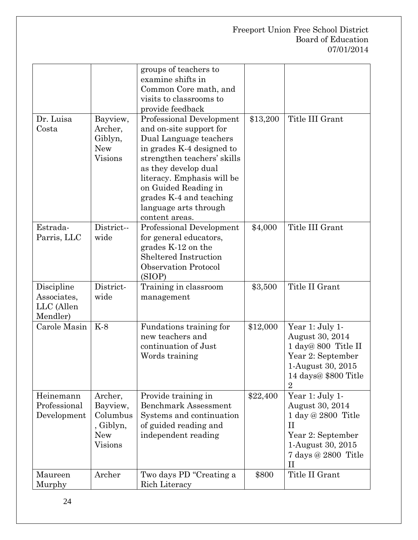|                                                     |                                                                       | groups of teachers to<br>examine shifts in<br>Common Core math, and<br>visits to classrooms to<br>provide feedback                                                                                                                                                                            |          |                                                                                                                                                         |
|-----------------------------------------------------|-----------------------------------------------------------------------|-----------------------------------------------------------------------------------------------------------------------------------------------------------------------------------------------------------------------------------------------------------------------------------------------|----------|---------------------------------------------------------------------------------------------------------------------------------------------------------|
| Dr. Luisa<br>Costa                                  | Bayview,<br>Archer,<br>Giblyn,<br><b>New</b><br><b>Visions</b>        | Professional Development<br>and on-site support for<br>Dual Language teachers<br>in grades K-4 designed to<br>strengthen teachers' skills<br>as they develop dual<br>literacy. Emphasis will be<br>on Guided Reading in<br>grades K-4 and teaching<br>language arts through<br>content areas. | \$13,200 | Title III Grant                                                                                                                                         |
| Estrada-<br>Parris, LLC                             | District--<br>wide                                                    | Professional Development<br>for general educators,<br>grades K-12 on the<br><b>Sheltered Instruction</b><br><b>Observation Protocol</b><br>(SIOP)                                                                                                                                             | \$4,000  | Title III Grant                                                                                                                                         |
| Discipline<br>Associates,<br>LLC (Allen<br>Mendler) | District-<br>wide                                                     | Training in classroom<br>management                                                                                                                                                                                                                                                           | \$3,500  | Title II Grant                                                                                                                                          |
| Carole Masin                                        | $K-8$                                                                 | Fundations training for<br>new teachers and<br>continuation of Just<br>Words training                                                                                                                                                                                                         | \$12,000 | Year 1: July 1-<br>August 30, 2014<br>1 day@ 800 Title II<br>Year 2: September<br>1-August 30, 2015<br>14 days@ \$800 Title<br>$\overline{2}$           |
| Heinemann<br>Professional<br>Development            | Archer,<br>Bayview,<br>Columbus<br>, Giblyn,<br><b>New</b><br>Visions | Provide training in<br><b>Benchmark Assessment</b><br>Systems and continuation<br>of guided reading and<br>independent reading                                                                                                                                                                | \$22,400 | Year 1: July 1-<br>August 30, 2014<br>1 day @ 2800 Title<br>$_{\rm II}$<br>Year 2: September<br>1-August 30, 2015<br>7 days @ 2800 Title<br>$_{\rm II}$ |
| Maureen<br>Murphy                                   | Archer                                                                | Two days PD "Creating a<br>Rich Literacy                                                                                                                                                                                                                                                      | \$800    | Title II Grant                                                                                                                                          |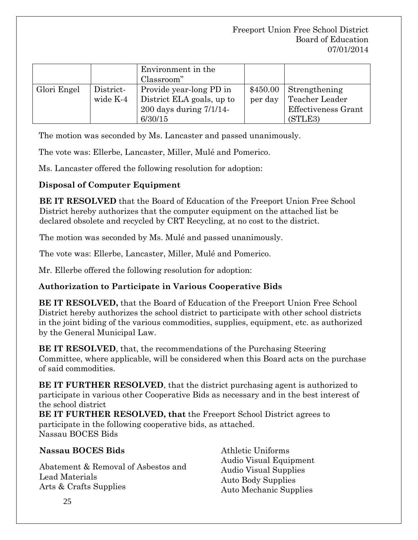|             |                       | Environment in the<br>Classroom"                                                                |                     |                                                                          |
|-------------|-----------------------|-------------------------------------------------------------------------------------------------|---------------------|--------------------------------------------------------------------------|
| Glori Engel | District-<br>wide K-4 | Provide year-long PD in<br>District ELA goals, up to<br>$200$ days during $7/1/14$ -<br>6/30/15 | \$450.00<br>per day | Strengthening<br>Teacher Leader<br><b>Effectiveness Grant</b><br>(STLE3) |

The motion was seconded by Ms. Lancaster and passed unanimously.

The vote was: Ellerbe, Lancaster, Miller, Mulé and Pomerico.

Ms. Lancaster offered the following resolution for adoption:

### **Disposal of Computer Equipment**

**BE IT RESOLVED** that the Board of Education of the Freeport Union Free School District hereby authorizes that the computer equipment on the attached list be declared obsolete and recycled by CRT Recycling, at no cost to the district.

The motion was seconded by Ms. Mulé and passed unanimously.

The vote was: Ellerbe, Lancaster, Miller, Mulé and Pomerico.

Mr. Ellerbe offered the following resolution for adoption:

## **Authorization to Participate in Various Cooperative Bids**

**BE IT RESOLVED,** that the Board of Education of the Freeport Union Free School District hereby authorizes the school district to participate with other school districts in the joint biding of the various commodities, supplies, equipment, etc. as authorized by the General Municipal Law.

**BE IT RESOLVED**, that, the recommendations of the Purchasing Steering Committee, where applicable, will be considered when this Board acts on the purchase of said commodities.

**BE IT FURTHER RESOLVED**, that the district purchasing agent is authorized to participate in various other Cooperative Bids as necessary and in the best interest of the school district

**BE IT FURTHER RESOLVED, that** the Freeport School District agrees to participate in the following cooperative bids, as attached. Nassau BOCES Bids

#### **Nassau BOCES Bids**

Abatement & Removal of Asbestos and Lead Materials Arts & Crafts Supplies

Athletic Uniforms Audio Visual Equipment Audio Visual Supplies Auto Body Supplies Auto Mechanic Supplies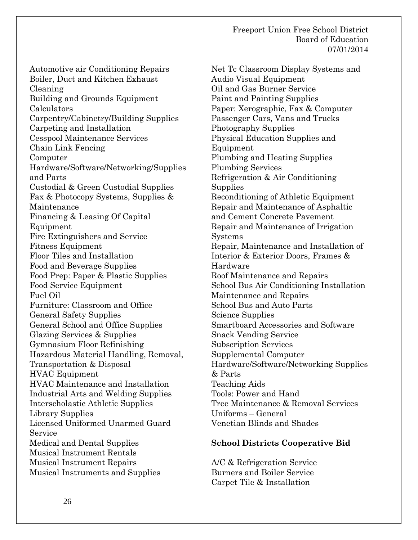Automotive air Conditioning Repairs Boiler, Duct and Kitchen Exhaust Cleaning Building and Grounds Equipment Calculators Carpentry/Cabinetry/Building Supplies Carpeting and Installation Cesspool Maintenance Services Chain Link Fencing Computer Hardware/Software/Networking/Supplies and Parts Custodial & Green Custodial Supplies Fax & Photocopy Systems, Supplies & Maintenance Financing & Leasing Of Capital Equipment Fire Extinguishers and Service Fitness Equipment Floor Tiles and Installation Food and Beverage Supplies Food Prep: Paper & Plastic Supplies Food Service Equipment Fuel Oil Furniture: Classroom and Office General Safety Supplies General School and Office Supplies Glazing Services & Supplies Gymnasium Floor Refinishing Hazardous Material Handling, Removal, Transportation & Disposal HVAC Equipment HVAC Maintenance and Installation Industrial Arts and Welding Supplies Interscholastic Athletic Supplies Library Supplies Licensed Uniformed Unarmed Guard Service Medical and Dental Supplies Musical Instrument Rentals Musical Instrument Repairs Musical Instruments and Supplies

Net Tc Classroom Display Systems and Audio Visual Equipment Oil and Gas Burner Service Paint and Painting Supplies Paper: Xerographic, Fax & Computer Passenger Cars, Vans and Trucks Photography Supplies Physical Education Supplies and Equipment Plumbing and Heating Supplies Plumbing Services Refrigeration & Air Conditioning Supplies Reconditioning of Athletic Equipment Repair and Maintenance of Asphaltic and Cement Concrete Pavement Repair and Maintenance of Irrigation Systems Repair, Maintenance and Installation of Interior & Exterior Doors, Frames & Hardware Roof Maintenance and Repairs School Bus Air Conditioning Installation Maintenance and Repairs School Bus and Auto Parts Science Supplies Smartboard Accessories and Software Snack Vending Service Subscription Services Supplemental Computer Hardware/Software/Networking Supplies & Parts Teaching Aids Tools: Power and Hand Tree Maintenance & Removal Services Uniforms – General Venetian Blinds and Shades

#### **School Districts Cooperative Bid**

A/C & Refrigeration Service Burners and Boiler Service Carpet Tile & Installation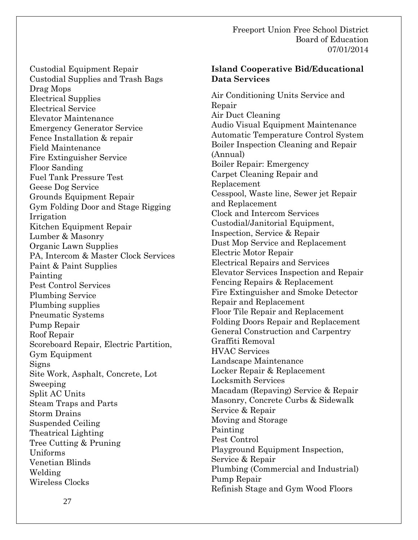Custodial Equipment Repair Custodial Supplies and Trash Bags Drag Mops Electrical Supplies Electrical Service Elevator Maintenance Emergency Generator Service Fence Installation & repair Field Maintenance Fire Extinguisher Service Floor Sanding Fuel Tank Pressure Test Geese Dog Service Grounds Equipment Repair Gym Folding Door and Stage Rigging Irrigation Kitchen Equipment Repair Lumber & Masonry Organic Lawn Supplies PA, Intercom & Master Clock Services Paint & Paint Supplies Painting Pest Control Services Plumbing Service Plumbing supplies Pneumatic Systems Pump Repair Roof Repair Scoreboard Repair, Electric Partition, Gym Equipment Signs Site Work, Asphalt, Concrete, Lot Sweeping Split AC Units Steam Traps and Parts Storm Drains Suspended Ceiling Theatrical Lighting Tree Cutting & Pruning Uniforms Venetian Blinds Welding Wireless Clocks

#### **Island Cooperative Bid/Educational Data Services**

Air Conditioning Units Service and Repair Air Duct Cleaning Audio Visual Equipment Maintenance Automatic Temperature Control System Boiler Inspection Cleaning and Repair (Annual) Boiler Repair: Emergency Carpet Cleaning Repair and Replacement Cesspool, Waste line, Sewer jet Repair and Replacement Clock and Intercom Services Custodial/Janitorial Equipment, Inspection, Service & Repair Dust Mop Service and Replacement Electric Motor Repair Electrical Repairs and Services Elevator Services Inspection and Repair Fencing Repairs & Replacement Fire Extinguisher and Smoke Detector Repair and Replacement Floor Tile Repair and Replacement Folding Doors Repair and Replacement General Construction and Carpentry Graffiti Removal HVAC Services Landscape Maintenance Locker Repair & Replacement Locksmith Services Macadam (Repaving) Service & Repair Masonry, Concrete Curbs & Sidewalk Service & Repair Moving and Storage Painting Pest Control Playground Equipment Inspection, Service & Repair Plumbing (Commercial and Industrial) Pump Repair Refinish Stage and Gym Wood Floors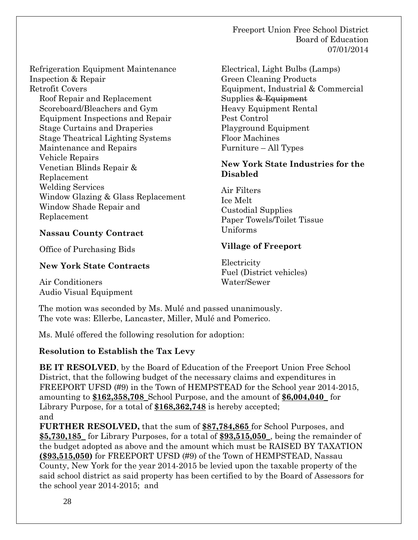Refrigeration Equipment Maintenance Inspection & Repair Retrofit Covers Roof Repair and Replacement Scoreboard/Bleachers and Gym Equipment Inspections and Repair Stage Curtains and Draperies Stage Theatrical Lighting Systems Maintenance and Repairs Vehicle Repairs Venetian Blinds Repair & Replacement Welding Services Window Glazing & Glass Replacement Window Shade Repair and Replacement

Electrical, Light Bulbs (Lamps) Green Cleaning Products Equipment, Industrial & Commercial Supplies & Equipment Heavy Equipment Rental Pest Control Playground Equipment Floor Machines Furniture – All Types

#### **New York State Industries for the Disabled**

Air Filters Ice Melt Custodial Supplies Paper Towels/Toilet Tissue Uniforms

#### **Nassau County Contract**

Office of Purchasing Bids

#### **New York State Contracts**

Air Conditioners Audio Visual Equipment **Electricity** Fuel (District vehicles) Water/Sewer

**Village of Freeport**

The motion was seconded by Ms. Mulé and passed unanimously. The vote was: Ellerbe, Lancaster, Miller, Mulé and Pomerico.

Ms. Mulé offered the following resolution for adoption:

## **Resolution to Establish the Tax Levy**

**BE IT RESOLVED**, by the Board of Education of the Freeport Union Free School District, that the following budget of the necessary claims and expenditures in FREEPORT UFSD (#9) in the Town of HEMPSTEAD for the School year 2014-2015, amounting to **\$162,358,708\_**School Purpose, and the amount of **\$6,004,040\_** for Library Purpose, for a total of **\$168,362,748** is hereby accepted; and

**FURTHER RESOLVED,** that the sum of **\$87,784,865** for School Purposes, and **\$5,730,185\_** for Library Purposes, for a total of **\$93,515,050\_**, being the remainder of the budget adopted as above and the amount which must be RAISED BY TAXATION **(\$93,515,050)** for FREEPORT UFSD (#9) of the Town of HEMPSTEAD, Nassau County, New York for the year 2014-2015 be levied upon the taxable property of the said school district as said property has been certified to by the Board of Assessors for the school year 2014-2015; and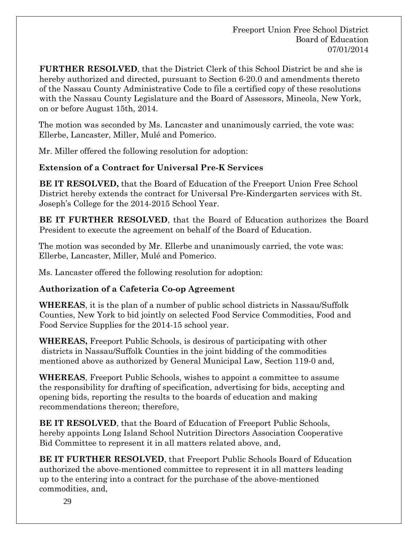**FURTHER RESOLVED**, that the District Clerk of this School District be and she is hereby authorized and directed, pursuant to Section 6-20.0 and amendments thereto of the Nassau County Administrative Code to file a certified copy of these resolutions with the Nassau County Legislature and the Board of Assessors, Mineola, New York, on or before August 15th, 2014.

The motion was seconded by Ms. Lancaster and unanimously carried, the vote was: Ellerbe, Lancaster, Miller, Mulé and Pomerico.

Mr. Miller offered the following resolution for adoption:

### **Extension of a Contract for Universal Pre-K Services**

**BE IT RESOLVED,** that the Board of Education of the Freeport Union Free School District hereby extends the contract for Universal Pre-Kindergarten services with St. Joseph's College for the 2014-2015 School Year.

**BE IT FURTHER RESOLVED**, that the Board of Education authorizes the Board President to execute the agreement on behalf of the Board of Education.

The motion was seconded by Mr. Ellerbe and unanimously carried, the vote was: Ellerbe, Lancaster, Miller, Mulé and Pomerico.

Ms. Lancaster offered the following resolution for adoption:

#### **Authorization of a Cafeteria Co-op Agreement**

**WHEREAS**, it is the plan of a number of public school districts in Nassau/Suffolk Counties, New York to bid jointly on selected Food Service Commodities, Food and Food Service Supplies for the 2014-15 school year.

**WHEREAS,** Freeport Public Schools, is desirous of participating with other districts in Nassau/Suffolk Counties in the joint bidding of the commodities mentioned above as authorized by General Municipal Law, Section 119-0 and,

**WHEREAS**, Freeport Public Schools, wishes to appoint a committee to assume the responsibility for drafting of specification, advertising for bids, accepting and opening bids, reporting the results to the boards of education and making recommendations thereon; therefore,

**BE IT RESOLVED**, that the Board of Education of Freeport Public Schools, hereby appoints Long Island School Nutrition Directors Association Cooperative Bid Committee to represent it in all matters related above, and,

**BE IT FURTHER RESOLVED**, that Freeport Public Schools Board of Education authorized the above-mentioned committee to represent it in all matters leading up to the entering into a contract for the purchase of the above-mentioned commodities, and,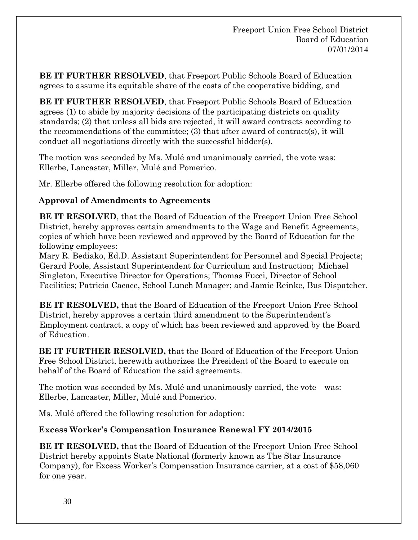**BE IT FURTHER RESOLVED**, that Freeport Public Schools Board of Education agrees to assume its equitable share of the costs of the cooperative bidding, and

**BE IT FURTHER RESOLVED**, that Freeport Public Schools Board of Education agrees (1) to abide by majority decisions of the participating districts on quality standards; (2) that unless all bids are rejected, it will award contracts according to the recommendations of the committee; (3) that after award of contract(s), it will conduct all negotiations directly with the successful bidder(s).

The motion was seconded by Ms. Mulé and unanimously carried, the vote was: Ellerbe, Lancaster, Miller, Mulé and Pomerico.

Mr. Ellerbe offered the following resolution for adoption:

### **Approval of Amendments to Agreements**

**BE IT RESOLVED**, that the Board of Education of the Freeport Union Free School District, hereby approves certain amendments to the Wage and Benefit Agreements, copies of which have been reviewed and approved by the Board of Education for the following employees:

Mary R. Bediako, Ed.D. Assistant Superintendent for Personnel and Special Projects; Gerard Poole, Assistant Superintendent for Curriculum and Instruction; Michael Singleton, Executive Director for Operations; Thomas Fucci, Director of School Facilities; Patricia Cacace, School Lunch Manager; and Jamie Reinke, Bus Dispatcher.

**BE IT RESOLVED,** that the Board of Education of the Freeport Union Free School District, hereby approves a certain third amendment to the Superintendent's Employment contract, a copy of which has been reviewed and approved by the Board of Education.

**BE IT FURTHER RESOLVED,** that the Board of Education of the Freeport Union Free School District, herewith authorizes the President of the Board to execute on behalf of the Board of Education the said agreements.

The motion was seconded by Ms. Mulé and unanimously carried, the vote was: Ellerbe, Lancaster, Miller, Mulé and Pomerico.

Ms. Mulé offered the following resolution for adoption:

## **Excess Worker's Compensation Insurance Renewal FY 2014/2015**

**BE IT RESOLVED,** that the Board of Education of the Freeport Union Free School District hereby appoints State National (formerly known as The Star Insurance Company), for Excess Worker's Compensation Insurance carrier, at a cost of \$58,060 for one year.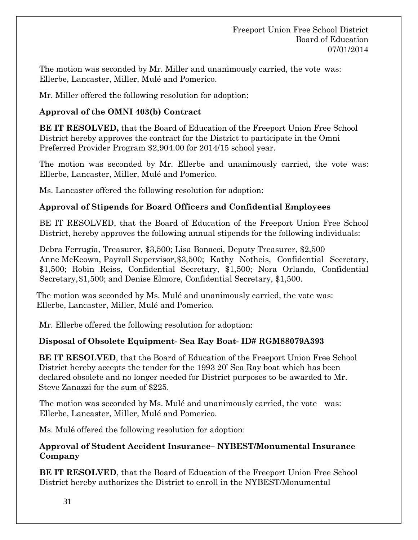The motion was seconded by Mr. Miller and unanimously carried, the vote was: Ellerbe, Lancaster, Miller, Mulé and Pomerico.

Mr. Miller offered the following resolution for adoption:

## **Approval of the OMNI 403(b) Contract**

**BE IT RESOLVED,** that the Board of Education of the Freeport Union Free School District hereby approves the contract for the District to participate in the Omni Preferred Provider Program \$2,904.00 for 2014/15 school year.

The motion was seconded by Mr. Ellerbe and unanimously carried, the vote was: Ellerbe, Lancaster, Miller, Mulé and Pomerico.

Ms. Lancaster offered the following resolution for adoption:

## **Approval of Stipends for Board Officers and Confidential Employees**

BE IT RESOLVED, that the Board of Education of the Freeport Union Free School District, hereby approves the following annual stipends for the following individuals:

Debra Ferrugia, Treasurer, \$3,500; Lisa Bonacci, Deputy Treasurer, \$2,500 Anne McKeown, Payroll Supervisor,\$3,500; Kathy Notheis, Confidential Secretary, \$1,500; Robin Reiss, Confidential Secretary, \$1,500; Nora Orlando, Confidential Secretary,\$1,500; and Denise Elmore, Confidential Secretary, \$1,500.

 The motion was seconded by Ms. Mulé and unanimously carried, the vote was: Ellerbe, Lancaster, Miller, Mulé and Pomerico.

Mr. Ellerbe offered the following resolution for adoption:

## **Disposal of Obsolete Equipment- Sea Ray Boat- ID# RGM88079A393**

**BE IT RESOLVED**, that the Board of Education of the Freeport Union Free School District hereby accepts the tender for the 1993 20' Sea Ray boat which has been declared obsolete and no longer needed for District purposes to be awarded to Mr. Steve Zanazzi for the sum of \$225.

The motion was seconded by Ms. Mulé and unanimously carried, the vote was: Ellerbe, Lancaster, Miller, Mulé and Pomerico.

Ms. Mulé offered the following resolution for adoption:

### **Approval of Student Accident Insurance– NYBEST/Monumental Insurance Company**

**BE IT RESOLVED**, that the Board of Education of the Freeport Union Free School District hereby authorizes the District to enroll in the NYBEST/Monumental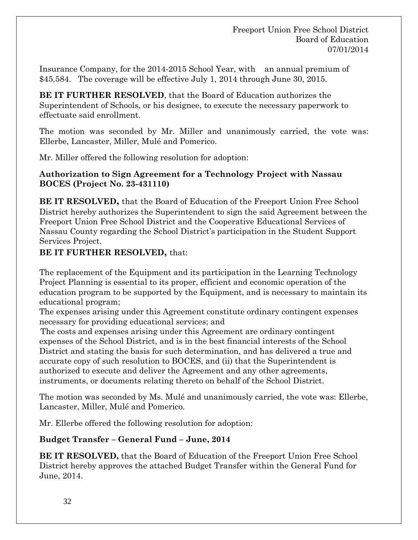Insurance Company, for the 2014-2015 School Year, with an annual premium of \$45,584. The coverage will be effective July 1, 2014 through June 30, 2015.

**BE IT FURTHER RESOLVED**, that the Board of Education authorizes the Superintendent of Schools, or his designee, to execute the necessary paperwork to effectuate said enrollment.

The motion was seconded by Mr. Miller and unanimously carried, the vote was: Ellerbe, Lancaster, Miller, Mulé and Pomerico.

Mr. Miller offered the following resolution for adoption:

#### **Authorization to Sign Agreement for a Technology Project with Nassau BOCES (Project No. 23-431110)**

**BE IT RESOLVED,** that the Board of Education of the Freeport Union Free School District hereby authorizes the Superintendent to sign the said Agreement between the Freeport Union Free School District and the Cooperative Educational Services of Nassau County regarding the School District's participation in the Student Support Services Project.

#### **BE IT FURTHER RESOLVED,** that:

The replacement of the Equipment and its participation in the Learning Technology Project Planning is essential to its proper, efficient and economic operation of the education program to be supported by the Equipment, and is necessary to maintain its educational program;

The expenses arising under this Agreement constitute ordinary contingent expenses necessary for providing educational services; and

The costs and expenses arising under this Agreement are ordinary contingent expenses of the School District, and is in the best financial interests of the School District and stating the basis for such determination, and has delivered a true and accurate copy of such resolution to BOCES, and (ii) that the Superintendent is authorized to execute and deliver the Agreement and any other agreements, instruments, or documents relating thereto on behalf of the School District.

The motion was seconded by Ms. Mulé and unanimously carried, the vote was: Ellerbe, Lancaster, Miller, Mulé and Pomerico.

Mr. Ellerbe offered the following resolution for adoption:

## **Budget Transfer – General Fund – June, 2014**

**BE IT RESOLVED,** that the Board of Education of the Freeport Union Free School District hereby approves the attached Budget Transfer within the General Fund for June, 2014.